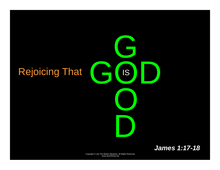

*James 1:17-18*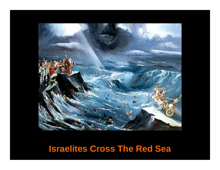

# **Israelites Cross The Red Sea**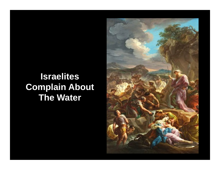# **Israelites Complain About The Water**

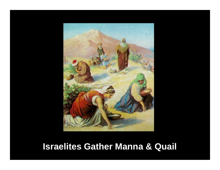

## **Israelites Gather Manna & Quail**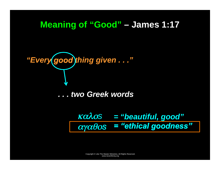#### **Meaning of "Good" – James 1:17**

*. . . two Greek words "Every good thing given . . ."* 

## καλο*s <sup>=</sup>"beautiful, good"*  αγαθο*<sup>s</sup> = "ethical goodness"*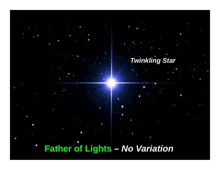#### *Twinkling Star*

# **Father of Lights** *– No Variation*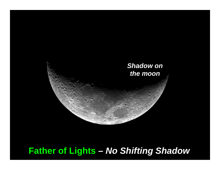

# **Father of Lights** *– No Shifting Shadow*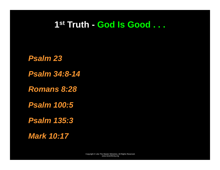### **1st Truth - God Is Good . . .**

*Psalm 23 Psalm 34:8-14 Romans 8:28 Psalm 100:5 Psalm 135:3* 

*Mark 10:17*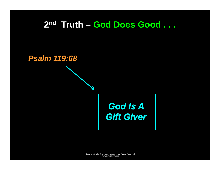### **2nd Truth – God Does Good . . .**

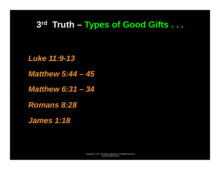### **3rd Truth – Types of Good Gifts . . .**

*Luke 11:9-13 Matthew 5:44 – 45 Matthew 6:31 – 34 Romans 8:28* 

*James 1:18*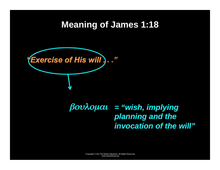#### **Meaning of James 1:18**



## βουλομαι *<sup>=</sup>"wish, implying planning and the invocation of the will"*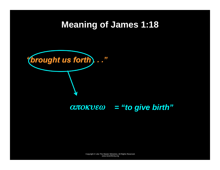### **Meaning of James 1:18**



#### αποκυεω *<sup>=</sup>"to give birth"*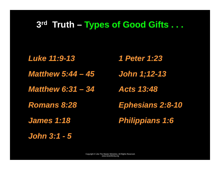### **3rd Truth – Types of Good Gifts . . .**

*Luke 11:9-13 Matthew 5:44 – 45 Matthew 6:31 – 34 Romans 8:28 James 1:18 John 3:1 - 5* 

*1 Peter 1:23* 

*John 1;12-13* 

*Acts 13:48* 

*Ephesians 2:8-10* 

*Philippians 1:6*